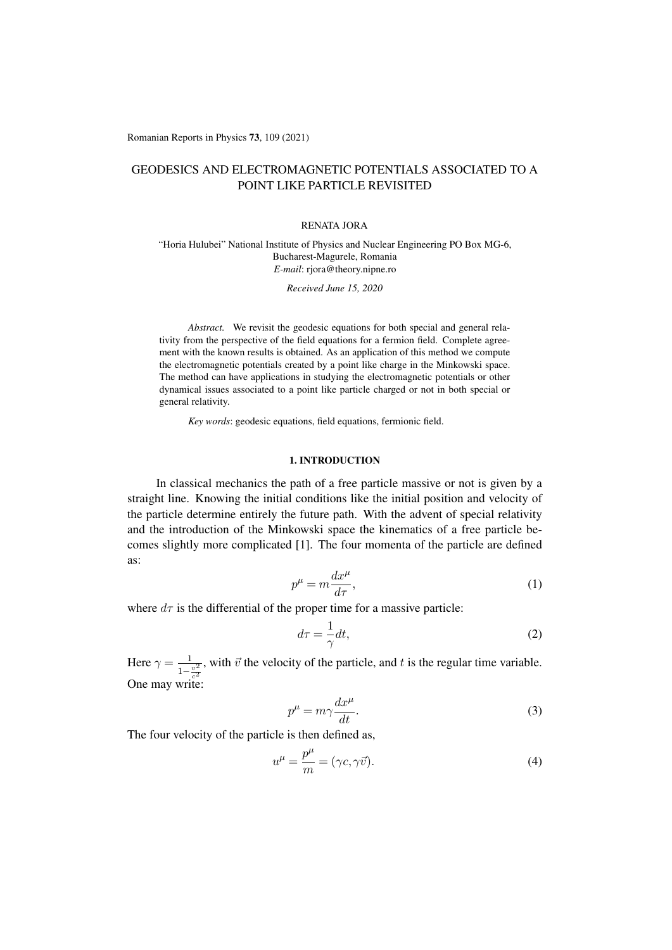Romanian Reports in Physics 73, 109 (2021)

# GEODESICS AND ELECTROMAGNETIC POTENTIALS ASSOCIATED TO A POINT LIKE PARTICLE REVISITED

#### RENATA JORA

"Horia Hulubei" National Institute of Physics and Nuclear Engineering PO Box MG-6, Bucharest-Magurele, Romania *E-mail*: rjora@theory.nipne.ro

*Received June 15, 2020*

*Abstract.* We revisit the geodesic equations for both special and general relativity from the perspective of the field equations for a fermion field. Complete agreement with the known results is obtained. As an application of this method we compute the electromagnetic potentials created by a point like charge in the Minkowski space. The method can have applications in studying the electromagnetic potentials or other dynamical issues associated to a point like particle charged or not in both special or general relativity.

*Key words*: geodesic equations, field equations, fermionic field.

# 1. INTRODUCTION

In classical mechanics the path of a free particle massive or not is given by a straight line. Knowing the initial conditions like the initial position and velocity of the particle determine entirely the future path. With the advent of special relativity and the introduction of the Minkowski space the kinematics of a free particle becomes slightly more complicated [1]. The four momenta of the particle are defined as:

$$
p^{\mu} = m \frac{dx^{\mu}}{d\tau},\tag{1}
$$

where  $d\tau$  is the differential of the proper time for a massive particle:

$$
d\tau = -\frac{1}{\gamma} dt,\tag{2}
$$

Here  $\gamma = \frac{1}{1 - \frac{v^2}{c^2}}$ , with  $\vec{v}$  the velocity of the particle, and  $t$  is the regular time variable. One may write:

$$
p^{\mu} = m\gamma \frac{dx^{\mu}}{dt}.
$$
 (3)

The four velocity of the particle is then defined as,

$$
u^{\mu} = \frac{p^{\mu}}{m} = (\gamma c, \gamma \vec{v}).
$$
\n(4)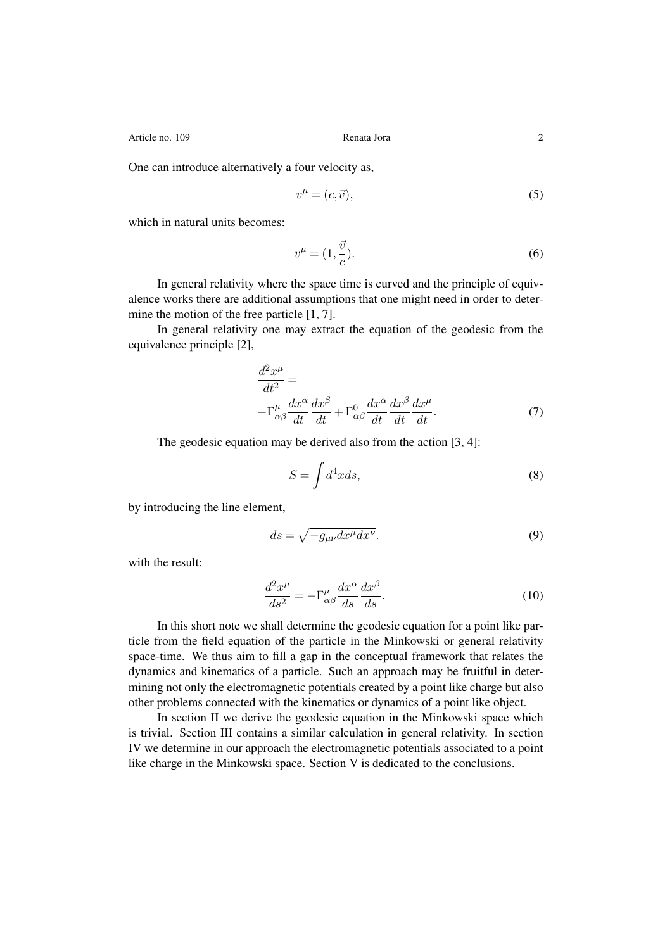One can introduce alternatively a four velocity as,

$$
v^{\mu} = (c, \vec{v}),\tag{5}
$$

which in natural units becomes:

$$
v^{\mu} = (1, \frac{\vec{v}}{c}).\tag{6}
$$

In general relativity where the space time is curved and the principle of equivalence works there are additional assumptions that one might need in order to determine the motion of the free particle [1, 7].

In general relativity one may extract the equation of the geodesic from the equivalence principle [2],

$$
\frac{d^2x^{\mu}}{dt^2} = -\Gamma^{\mu}_{\alpha\beta}\frac{dx^{\alpha}}{dt}\frac{dx^{\beta}}{dt} + \Gamma^0_{\alpha\beta}\frac{dx^{\alpha}}{dt}\frac{dx^{\beta}}{dt}\frac{dx^{\mu}}{dt}.
$$
\n(7)

The geodesic equation may be derived also from the action [3, 4]:

$$
S = \int d^4x ds,\tag{8}
$$

by introducing the line element,

$$
ds = \sqrt{-g_{\mu\nu}dx^{\mu}dx^{\nu}}.
$$
\n(9)

with the result:

$$
\frac{d^2x^{\mu}}{ds^2} = -\Gamma^{\mu}_{\alpha\beta}\frac{dx^{\alpha}}{ds}\frac{dx^{\beta}}{ds}.
$$
\n(10)

In this short note we shall determine the geodesic equation for a point like particle from the field equation of the particle in the Minkowski or general relativity space-time. We thus aim to fill a gap in the conceptual framework that relates the dynamics and kinematics of a particle. Such an approach may be fruitful in determining not only the electromagnetic potentials created by a point like charge but also other problems connected with the kinematics or dynamics of a point like object.

In section II we derive the geodesic equation in the Minkowski space which is trivial. Section III contains a similar calculation in general relativity. In section IV we determine in our approach the electromagnetic potentials associated to a point like charge in the Minkowski space. Section V is dedicated to the conclusions.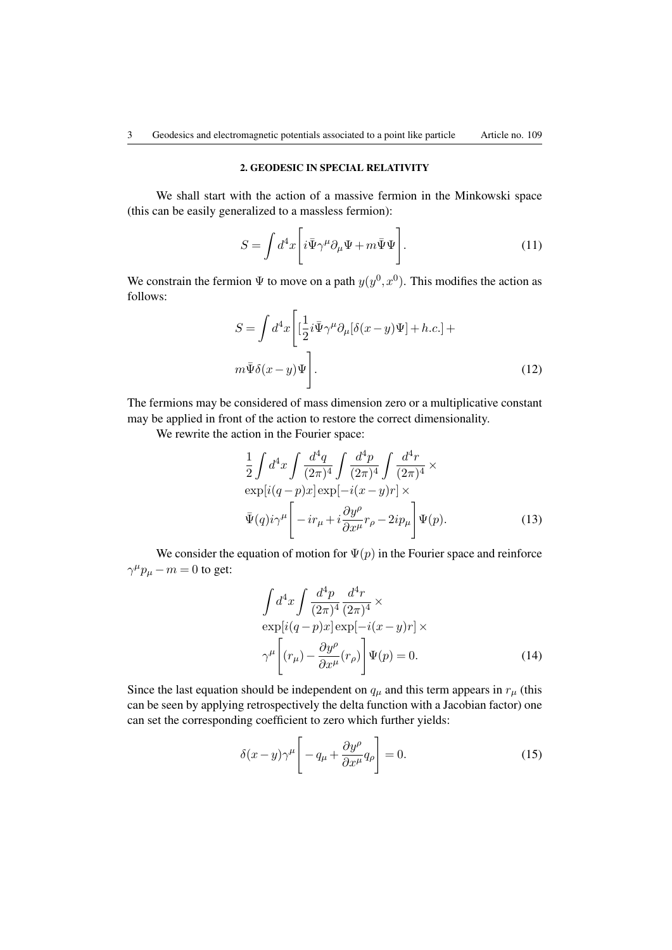# 2. GEODESIC IN SPECIAL RELATIVITY

We shall start with the action of a massive fermion in the Minkowski space (this can be easily generalized to a massless fermion):

$$
S = \int d^4x \left[ i\bar{\Psi}\gamma^\mu \partial_\mu \Psi + m\bar{\Psi}\Psi \right]. \tag{11}
$$

We constrain the fermion  $\Psi$  to move on a path  $y(y^0, x^0)$ . This modifies the action as follows:

$$
S = \int d^4x \left[ \left[ \frac{1}{2} i \bar{\Psi} \gamma^\mu \partial_\mu [\delta(x-y)\Psi] + h.c. \right] + m \bar{\Psi} \delta(x-y)\Psi \right].
$$
\n(12)

The fermions may be considered of mass dimension zero or a multiplicative constant may be applied in front of the action to restore the correct dimensionality.

We rewrite the action in the Fourier space:

$$
\frac{1}{2} \int d^4x \int \frac{d^4q}{(2\pi)^4} \int \frac{d^4p}{(2\pi)^4} \int \frac{d^4r}{(2\pi)^4} \times
$$
  
\n
$$
\exp[i(q-p)x] \exp[-i(x-y)r] \times
$$
  
\n
$$
\bar{\Psi}(q)i\gamma^{\mu} \left[ -ir_{\mu} + i\frac{\partial y^{\rho}}{\partial x^{\mu}}r_{\rho} - 2ip_{\mu} \right] \Psi(p).
$$
\n(13)

We consider the equation of motion for  $\Psi(p)$  in the Fourier space and reinforce  $\gamma^{\mu}p_{\mu} - m = 0$  to get:

$$
\int d^4x \int \frac{d^4p}{(2\pi)^4} \frac{d^4r}{(2\pi)^4} \times
$$
  
\n
$$
\exp[i(q-p)x] \exp[-i(x-y)r] \times
$$
  
\n
$$
\gamma^{\mu} \left[ (r_{\mu}) - \frac{\partial y^{\rho}}{\partial x^{\mu}} (r_{\rho}) \right] \Psi(p) = 0.
$$
\n(14)

Since the last equation should be independent on  $q<sub>\mu</sub>$  and this term appears in  $r<sub>\mu</sub>$  (this can be seen by applying retrospectively the delta function with a Jacobian factor) one can set the corresponding coefficient to zero which further yields:

$$
\delta(x-y)\gamma^{\mu}\left[-q_{\mu}+\frac{\partial y^{\rho}}{\partial x^{\mu}}q_{\rho}\right]=0.
$$
 (15)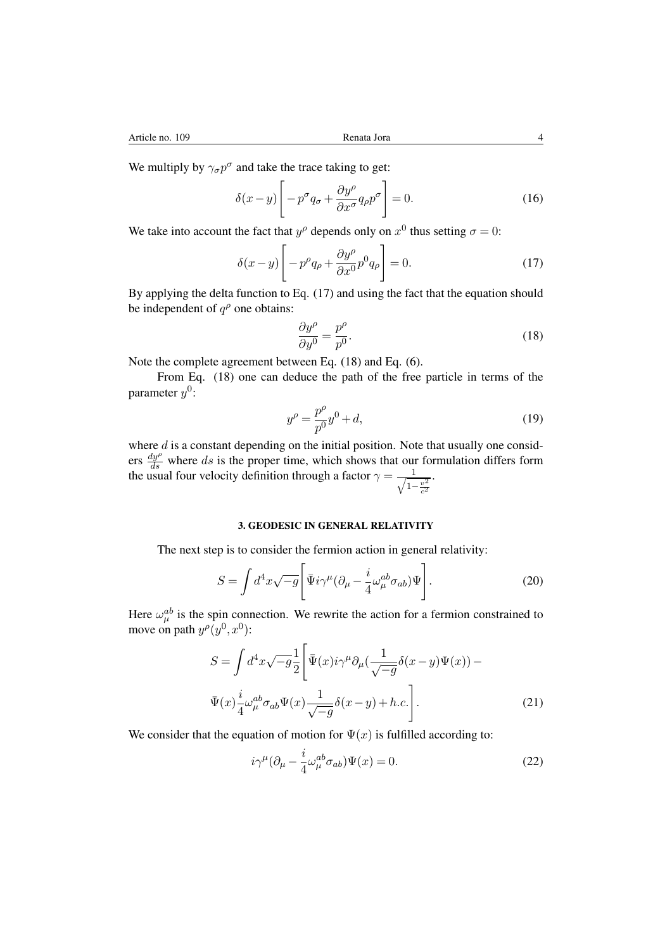We multiply by  $\gamma_{\sigma} p^{\sigma}$  and take the trace taking to get:

$$
\delta(x - y) \left[ -p^{\sigma} q_{\sigma} + \frac{\partial y^{\rho}}{\partial x^{\sigma}} q_{\rho} p^{\sigma} \right] = 0. \tag{16}
$$

We take into account the fact that  $y^{\rho}$  depends only on  $x^0$  thus setting  $\sigma = 0$ :

$$
\delta(x-y)\left[-p^{\rho}q_{\rho} + \frac{\partial y^{\rho}}{\partial x^{0}}p^{0}q_{\rho}\right] = 0.
$$
\n(17)

By applying the delta function to Eq. (17) and using the fact that the equation should be independent of  $q^{\rho}$  one obtains:

$$
\frac{\partial y^{\rho}}{\partial y^{0}} = \frac{p^{\rho}}{p^{0}}.
$$
\n(18)

Note the complete agreement between Eq. (18) and Eq. (6).

From Eq. (18) one can deduce the path of the free particle in terms of the parameter  $y^0$ :

$$
y^{\rho} = \frac{p^{\rho}}{p^0} y^0 + d,\tag{19}
$$

where *d* is a constant depending on the initial position. Note that usually one considers  $\frac{dy^{\rho}}{ds}$  where *ds* is the proper time, which shows that our formulation differs form the usual four velocity definition through a factor  $\gamma = \frac{1}{\sqrt{1-\epsilon}}$  $1 - \frac{v^2}{c^2}$ .

## 3. GEODESIC IN GENERAL RELATIVITY

The next step is to consider the fermion action in general relativity:

$$
S = \int d^4x \sqrt{-g} \left[ \bar{\Psi} i \gamma^{\mu} (\partial_{\mu} - \frac{i}{4} \omega_{\mu}^{ab} \sigma_{ab}) \Psi \right].
$$
 (20)

Here  $\omega_{\mu}^{ab}$  is the spin connection. We rewrite the action for a fermion constrained to move on path  $y^{\rho}(y^0, x^0)$ :

$$
S = \int d^4x \sqrt{-g} \frac{1}{2} \left[ \bar{\Psi}(x) i \gamma^{\mu} \partial_{\mu} \left( \frac{1}{\sqrt{-g}} \delta(x - y) \Psi(x) \right) - \bar{\Psi}(x) \frac{i}{4} \omega_{\mu}^{ab} \sigma_{ab} \Psi(x) \frac{1}{\sqrt{-g}} \delta(x - y) + h.c. \right].
$$
 (21)

We consider that the equation of motion for  $\Psi(x)$  is fulfilled according to:

$$
i\gamma^{\mu}(\partial_{\mu} - \frac{i}{4}\omega_{\mu}^{ab}\sigma_{ab})\Psi(x) = 0.
$$
 (22)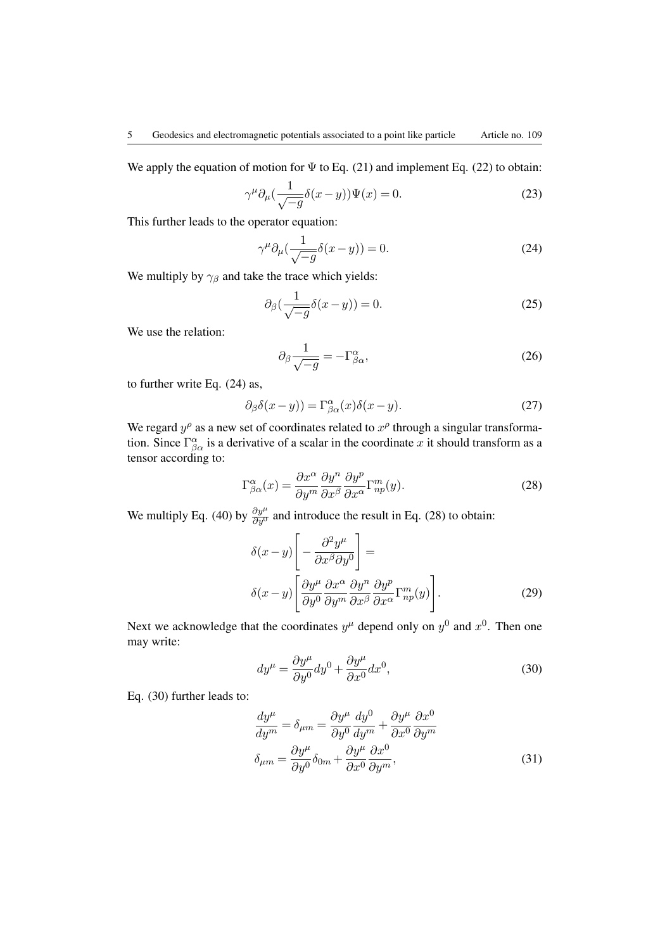We apply the equation of motion for  $\Psi$  to Eq. (21) and implement Eq. (22) to obtain:

$$
\gamma^{\mu} \partial_{\mu} \left( \frac{1}{\sqrt{-g}} \delta(x - y) \right) \Psi(x) = 0. \tag{23}
$$

This further leads to the operator equation:

$$
\gamma^{\mu} \partial_{\mu} \left( \frac{1}{\sqrt{-g}} \delta(x - y) \right) = 0. \tag{24}
$$

We multiply by  $\gamma_\beta$  and take the trace which yields:

$$
\partial_{\beta}(\frac{1}{\sqrt{-g}}\delta(x-y)) = 0. \tag{25}
$$

We use the relation:

$$
\partial_{\beta} \frac{1}{\sqrt{-g}} = -\Gamma^{\alpha}_{\beta\alpha},\tag{26}
$$

to further write Eq. (24) as,

$$
\partial_{\beta}\delta(x-y)) = \Gamma^{\alpha}_{\beta\alpha}(x)\delta(x-y). \tag{27}
$$

We regard  $y^{\rho}$  as a new set of coordinates related to  $x^{\rho}$  through a singular transformation. Since  $\Gamma^{\alpha}_{\beta\alpha}$  is a derivative of a scalar in the coordinate x it should transform as a tensor according to:

$$
\Gamma^{\alpha}_{\beta\alpha}(x) = \frac{\partial x^{\alpha}}{\partial y^{m}} \frac{\partial y^{n}}{\partial x^{\beta}} \frac{\partial y^{p}}{\partial x^{\alpha}} \Gamma^{m}_{np}(y). \tag{28}
$$

We multiply Eq. (40) by  $\frac{\partial y^{\mu}}{\partial y^0}$  and introduce the result in Eq. (28) to obtain:

$$
\delta(x-y)\left[-\frac{\partial^2 y^{\mu}}{\partial x^{\beta} \partial y^0}\right] =
$$

$$
\delta(x-y)\left[\frac{\partial y^{\mu}}{\partial y^0}\frac{\partial x^{\alpha}}{\partial y^m}\frac{\partial y^n}{\partial x^{\beta}}\frac{\partial y^p}{\partial x^{\alpha}}\Gamma^m_{np}(y)\right].
$$
 (29)

Next we acknowledge that the coordinates  $y^{\mu}$  depend only on  $y^0$  and  $x^0$ . Then one may write:

$$
dy^{\mu} = \frac{\partial y^{\mu}}{\partial y^{0}} dy^{0} + \frac{\partial y^{\mu}}{\partial x^{0}} dx^{0},
$$
\n(30)

Eq. (30) further leads to:

$$
\frac{dy^{\mu}}{dy^{m}} = \delta_{\mu m} = \frac{\partial y^{\mu}}{\partial y^{0}} \frac{dy^{0}}{dy^{m}} + \frac{\partial y^{\mu}}{\partial x^{0}} \frac{\partial x^{0}}{\partial y^{m}}
$$

$$
\delta_{\mu m} = \frac{\partial y^{\mu}}{\partial y^{0}} \delta_{0m} + \frac{\partial y^{\mu}}{\partial x^{0}} \frac{\partial x^{0}}{\partial y^{m}},
$$
(31)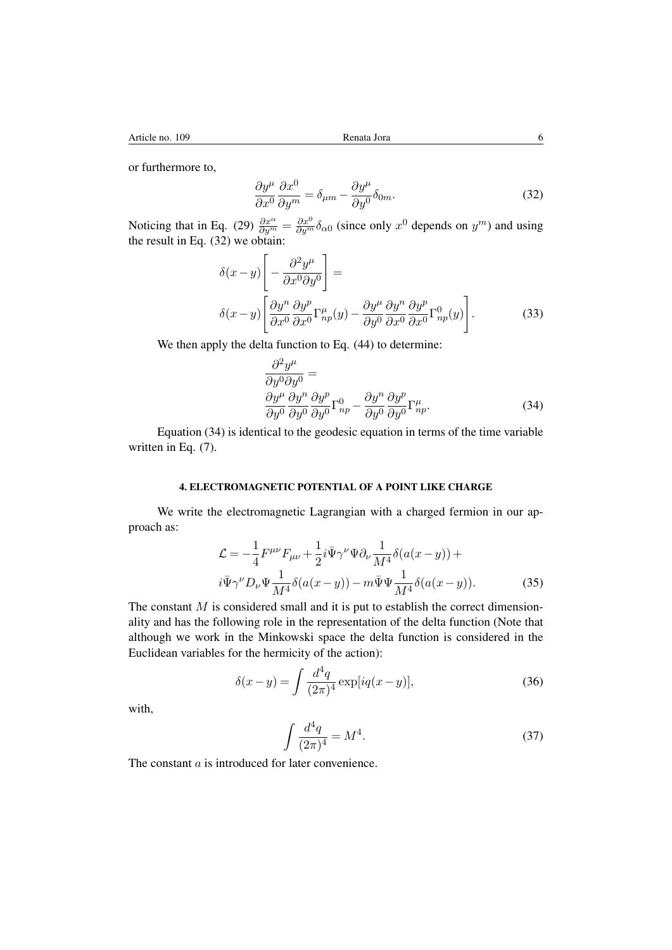or furthermore to,

$$
\frac{\partial y^{\mu}}{\partial x^{0}} \frac{\partial x^{0}}{\partial y^{m}} = \delta_{\mu m} - \frac{\partial y^{\mu}}{\partial y^{0}} \delta_{0m}.
$$
 (32)

Noticing that in Eq. (29)  $\frac{\partial x^{\alpha}}{\partial y^m} = \frac{\partial x^0}{\partial y^m} \delta_{\alpha 0}$  (since only  $x^0$  depends on  $y^m$ ) and using the result in Eq.  $(32)$  we obtain:

$$
\delta(x-y)\left[-\frac{\partial^2 y^{\mu}}{\partial x^0 \partial y^0}\right] =
$$
  

$$
\delta(x-y)\left[\frac{\partial y^n}{\partial x^0}\frac{\partial y^p}{\partial x^0}\Gamma^{\mu}_{np}(y) - \frac{\partial y^{\mu}}{\partial y^0}\frac{\partial y^n}{\partial x^0}\frac{\partial y^p}{\partial x^0}\Gamma^0_{np}(y)\right].
$$
 (33)

We then apply the delta function to Eq.  $(44)$  to determine:

$$
\frac{\partial^2 y^{\mu}}{\partial y^0 \partial y^0} = \frac{\partial y^{\mu}}{\partial y^0} \frac{\partial y^p}{\partial y^0} \Gamma^0_{np} - \frac{\partial y^n}{\partial y^0} \frac{\partial y^p}{\partial y^0} \Gamma^{\mu}_{np}.
$$
\n(34)

Equation (34) is identical to the geodesic equation in terms of the time variable written in Eq. (7).

## 4. ELECTROMAGNETIC POTENTIAL OF A POINT LIKE CHARGE

We write the electromagnetic Lagrangian with a charged fermion in our approach as:

$$
\mathcal{L} = -\frac{1}{4} F^{\mu\nu} F_{\mu\nu} + \frac{1}{2} i \bar{\Psi} \gamma^{\nu} \Psi \partial_{\nu} \frac{1}{M^4} \delta(a(x - y)) +
$$
  
\n
$$
i \bar{\Psi} \gamma^{\nu} D_{\nu} \Psi \frac{1}{M^4} \delta(a(x - y)) - m \bar{\Psi} \Psi \frac{1}{M^4} \delta(a(x - y)).
$$
\n(35)

The constant *M* is considered small and it is put to establish the correct dimensionality and has the following role in the representation of the delta function (Note that although we work in the Minkowski space the delta function is considered in the Euclidean variables for the hermicity of the action):

$$
\delta(x-y) = \int \frac{d^4q}{(2\pi)^4} \exp[iq(x-y)],\tag{36}
$$

with,

$$
\int \frac{d^4q}{(2\pi)^4} = M^4.
$$
\n(37)

The constant *a* is introduced for later convenience.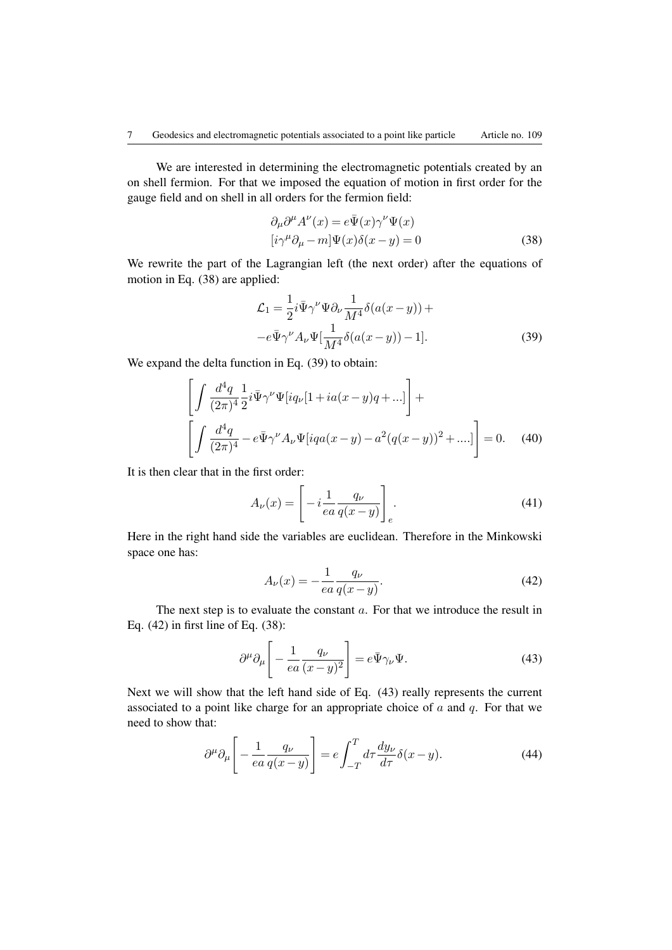We are interested in determining the electromagnetic potentials created by an on shell fermion. For that we imposed the equation of motion in first order for the gauge field and on shell in all orders for the fermion field:

$$
\partial_{\mu}\partial^{\mu}A^{\nu}(x) = e\bar{\Psi}(x)\gamma^{\nu}\Psi(x)
$$
  
\n
$$
[i\gamma^{\mu}\partial_{\mu} - m]\Psi(x)\delta(x - y) = 0
$$
\n(38)

We rewrite the part of the Lagrangian left (the next order) after the equations of motion in Eq. (38) are applied:

$$
\mathcal{L}_1 = \frac{1}{2} i \bar{\Psi} \gamma^\nu \Psi \partial_\nu \frac{1}{M^4} \delta(a(x - y)) +
$$
  

$$
-e \bar{\Psi} \gamma^\nu A_\nu \Psi \left[ \frac{1}{M^4} \delta(a(x - y)) - 1 \right].
$$
 (39)

We expand the delta function in Eq. (39) to obtain:

$$
\left[\int \frac{d^4q}{(2\pi)^4} \frac{1}{2} i \bar{\Psi} \gamma^\nu \Psi[iq_\nu [1 + ia(x - y)q + ...] \right] +
$$
  

$$
\left[\int \frac{d^4q}{(2\pi)^4} - e \bar{\Psi} \gamma^\nu A_\nu \Psi[iqa(x - y) - a^2(q(x - y))^2 + ...] \right] = 0.
$$
 (40)

It is then clear that in the first order:

$$
A_{\nu}(x) = \left[ -i \frac{1}{ea} \frac{q_{\nu}}{q(x-y)} \right]_{e}.
$$
 (41)

Here in the right hand side the variables are euclidean. Therefore in the Minkowski space one has:

$$
A_{\nu}(x) = -\frac{1}{ea} \frac{q_{\nu}}{q(x - y)}.
$$
\n(42)

The next step is to evaluate the constant *a*. For that we introduce the result in Eq. (42) in first line of Eq. (38):

$$
\partial^{\mu}\partial_{\mu}\left[-\frac{1}{ea}\frac{q_{\nu}}{(x-y)^{2}}\right] = e\bar{\Psi}\gamma_{\nu}\Psi.
$$
 (43)

Next we will show that the left hand side of Eq. (43) really represents the current associated to a point like charge for an appropriate choice of *a* and *q*. For that we need to show that:

$$
\partial^{\mu}\partial_{\mu}\left[-\frac{1}{ea}\frac{q_{\nu}}{q(x-y)}\right] = e \int_{-T}^{T} d\tau \frac{dy_{\nu}}{d\tau} \delta(x-y). \tag{44}
$$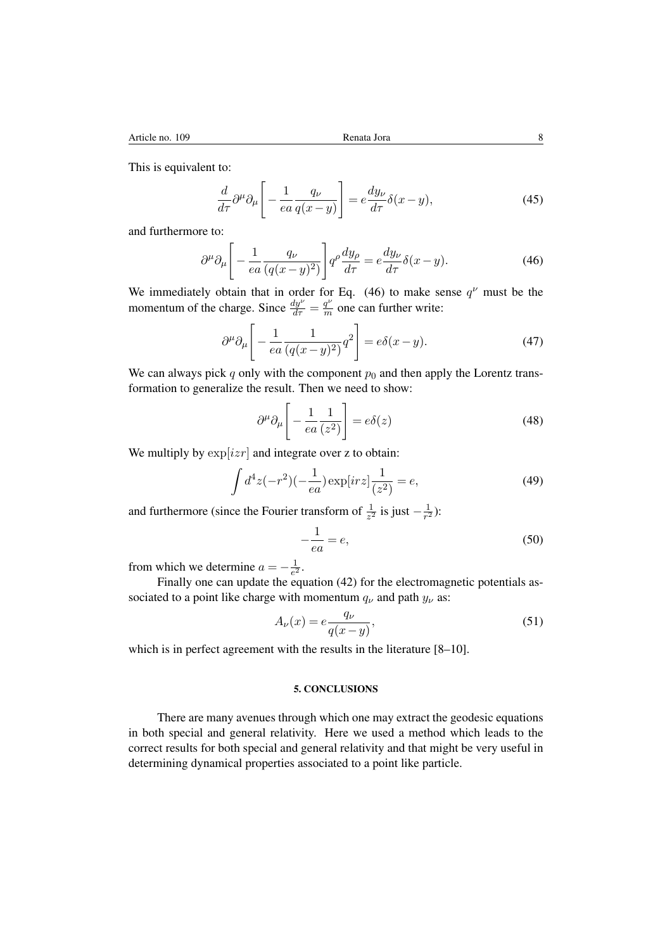This is equivalent to:

$$
\frac{d}{d\tau}\partial^{\mu}\partial_{\mu}\left[-\frac{1}{ea}\frac{q_{\nu}}{q(x-y)}\right] = e\frac{dy_{\nu}}{d\tau}\delta(x-y),\tag{45}
$$

and furthermore to:

$$
\partial^{\mu}\partial_{\mu}\left[-\frac{1}{ea}\frac{q_{\nu}}{(q(x-y)^{2})}\right]q^{\rho}\frac{dy_{\rho}}{d\tau} = e\frac{dy_{\nu}}{d\tau}\delta(x-y). \tag{46}
$$

We immediately obtain that in order for Eq. (46) to make sense  $q^{\nu}$  must be the momentum of the charge. Since  $\frac{dy^{\nu}}{d\tau} = \frac{q^{\nu}}{m}$  one can further write:

$$
\partial^{\mu}\partial_{\mu}\left[-\frac{1}{ea}\frac{1}{(q(x-y)^{2})}q^{2}\right] = e\delta(x-y).
$$
 (47)

We can always pick  $q$  only with the component  $p_0$  and then apply the Lorentz transformation to generalize the result. Then we need to show:

$$
\partial^{\mu}\partial_{\mu}\left[-\frac{1}{ea}\frac{1}{(z^2)}\right] = e\delta(z)
$$
\n(48)

We multiply by  $\exp[izr]$  and integrate over z to obtain:

$$
\int d^4z (-r^2)(-\frac{1}{ea}) \exp[irz]\frac{1}{(z^2)} = e,\t\t(49)
$$

and furthermore (since the Fourier transform of  $\frac{1}{z^2}$  is just  $-\frac{1}{r^2}$ ):

$$
-\frac{1}{ea} = e,\tag{50}
$$

from which we determine  $a = -\frac{1}{e^2}$ .

Finally one can update the equation (42) for the electromagnetic potentials associated to a point like charge with momentum  $q_\nu$  and path  $y_\nu$  as:

$$
A_{\nu}(x) = e \frac{q_{\nu}}{q(x - y)},\tag{51}
$$

which is in perfect agreement with the results in the literature [8–10].

#### 5. CONCLUSIONS

There are many avenues through which one may extract the geodesic equations in both special and general relativity. Here we used a method which leads to the correct results for both special and general relativity and that might be very useful in determining dynamical properties associated to a point like particle.